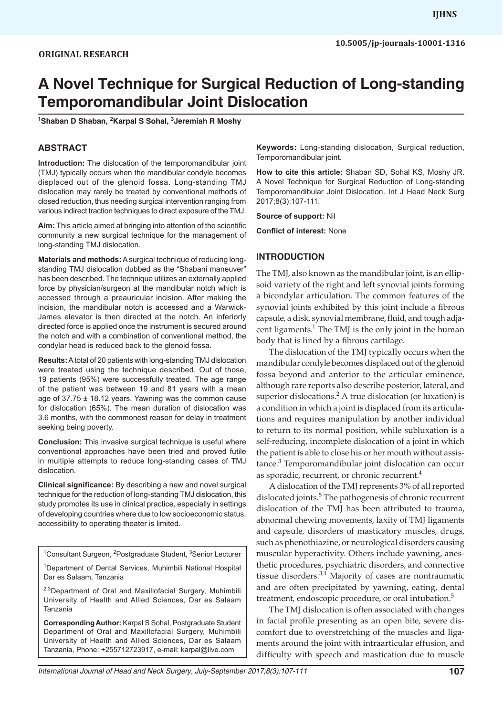# **A Novel Technique for Surgical Reduction of Long-standing Temporomandibular Joint Dislocation**

**1 Shaban D Shaban, 2 Karpal S Sohal, 3 Jeremiah R Moshy**

#### **ABSTRACT**

**Introduction:** The dislocation of the temporomandibular joint (TMJ) typically occurs when the mandibular condyle becomes displaced out of the glenoid fossa. Long-standing TMJ dislocation may rarely be treated by conventional methods of closed reduction, thus needing surgical intervention ranging from various indirect traction techniques to direct exposure of the TMJ.

**Aim:** This article aimed at bringing into attention of the scientific community a new surgical technique for the management of long-standing TMJ dislocation.

**Materials and methods:** A surgical technique of reducing longstanding TMJ dislocation dubbed as the "Shabani maneuver" has been described. The technique utilizes an externally applied force by physician/surgeon at the mandibular notch which is accessed through a preauricular incision. After making the incision, the mandibular notch is accessed and a Warwick-James elevator is then directed at the notch. An inferiorly directed force is applied once the instrument is secured around the notch and with a combination of conventional method, the condylar head is reduced back to the glenoid fossa.

**Results:** A total of 20 patients with long-standing TMJ dislocation were treated using the technique described. Out of those, 19 patients (95%) were successfully treated. The age range of the patient was between 19 and 81 years with a mean age of  $37.75 \pm 18.12$  years. Yawning was the common cause for dislocation (65%). The mean duration of dislocation was 3.6 months, with the commonest reason for delay in treatment seeking being poverty.

**Conclusion:** This invasive surgical technique is useful where conventional approaches have been tried and proved futile in multiple attempts to reduce long-standing cases of TMJ dislocation.

**Clinical significance:** By describing a new and novel surgical technique for the reduction of long-standing TMJ dislocation, this study promotes its use in clinical practice, especially in settings of developing countries where due to low socioeconomic status, accessibility to operating theater is limited.

<sup>1</sup>Consultant Surgeon, <sup>2</sup>Postgraduate Student, <sup>3</sup>Senior Lecturer

<sup>1</sup>Department of Dental Services, Muhimbili National Hospital Dar es Salaam, Tanzania

<sup>2,3</sup>Department of Oral and Maxillofacial Surgery, Muhimbili University of Health and Allied Sciences, Dar es Salaam Tanzania

**Corresponding Author:** Karpal S Sohal, Postgraduate Student Department of Oral and Maxillofacial Surgery, Muhimbili University of Health and Allied Sciences, Dar es Salaam Tanzania, Phone: +255712723917, e-mail: karpal@live.com

**Keywords:** Long-standing dislocation, Surgical reduction, Temporomandibular joint.

**How to cite this article:** Shaban SD, Sohal KS, Moshy JR. A Novel Technique for Surgical Reduction of Long-standing Temporomandibular Joint Dislocation. Int J Head Neck Surg 2017;8(3):107-111.

**Source of support:** Nil

**Conflict of interest:** None

#### **INTRODUCTION**

The TMJ, also known as the mandibular joint, is an ellipsoid variety of the right and left synovial joints forming a bicondylar articulation. The common features of the synovial joints exhibited by this joint include a fibrous capsule, a disk, synovial membrane, fluid, and tough adjacent ligaments.<sup>1</sup> The TMJ is the only joint in the human body that is lined by a fibrous cartilage.

The dislocation of the TMJ typically occurs when the mandibular condyle becomes displaced out of the glenoid fossa beyond and anterior to the articular eminence, although rare reports also describe posterior, lateral, and superior dislocations.<sup>2</sup> A true dislocation (or luxation) is a condition in which a joint is displaced from its articulations and requires manipulation by another individual to return to its normal position, while subluxation is a self-reducing, incomplete dislocation of a joint in which the patient is able to close his or her mouth without assistance.<sup>3</sup> Temporomandibular joint dislocation can occur as sporadic, recurrent, or chronic recurrent.<sup>4</sup>

A dislocation of the TMJ represents 3% of all reported dislocated joints.<sup>5</sup> The pathogenesis of chronic recurrent dislocation of the TMJ has been attributed to trauma, abnormal chewing movements, laxity of TMJ ligaments and capsule, disorders of masticatory muscles, drugs, such as phenothiazine, or neurological disorders causing muscular hyperactivity. Others include yawning, anesthetic procedures, psychiatric disorders, and connective tissue disorders. $3,4$  Majority of cases are nontraumatic and are often precipitated by yawning, eating, dental treatment, endoscopic procedure, or oral intubation.<sup>5</sup>

The TMJ dislocation is often associated with changes in facial profile presenting as an open bite, severe discomfort due to overstretching of the muscles and ligaments around the joint with intraarticular effusion, and difficulty with speech and mastication due to muscle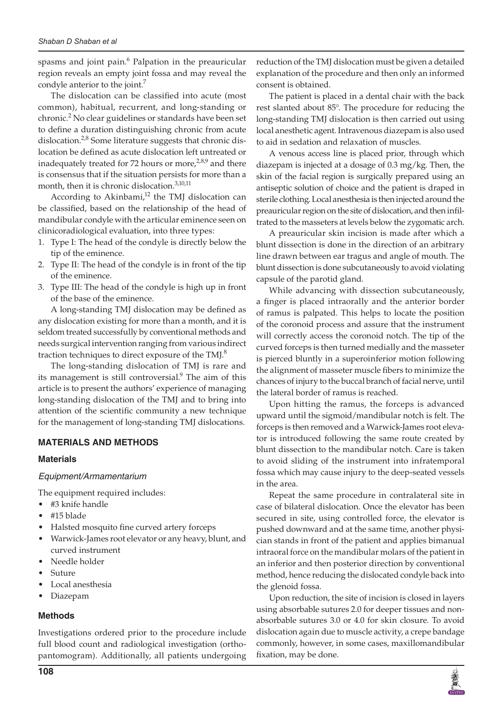spasms and joint pain.<sup>6</sup> Palpation in the preauricular region reveals an empty joint fossa and may reveal the condyle anterior to the joint.<sup>7</sup>

The dislocation can be classified into acute (most common), habitual, recurrent, and long-standing or chronic.<sup>2</sup> No clear guidelines or standards have been set to define a duration distinguishing chronic from acute dislocation.<sup>2,8</sup> Some literature suggests that chronic dislocation be defined as acute dislocation left untreated or inadequately treated for 72 hours or more, $2.8,9$  and there is consensus that if the situation persists for more than a month, then it is chronic dislocation.<sup>3,10,11</sup>

According to Akinbami, $12$  the TMJ dislocation can be classified, based on the relationship of the head of mandibular condyle with the articular eminence seen on clinicoradiological evaluation, into three types:

- 1. Type I: The head of the condyle is directly below the tip of the eminence.
- 2. Type II: The head of the condyle is in front of the tip of the eminence.
- 3. Type III: The head of the condyle is high up in front of the base of the eminence.

A long-standing TMJ dislocation may be defined as any dislocation existing for more than a month, and it is seldom treated successfully by conventional methods and needs surgical intervention ranging from various indirect traction techniques to direct exposure of the TMJ.<sup>8</sup>

The long-standing dislocation of TMJ is rare and its management is still controversial.<sup>9</sup> The aim of this article is to present the authors' experience of managing long-standing dislocation of the TMJ and to bring into attention of the scientific community a new technique for the management of long-standing TMJ dislocations.

# **MATERIALS AND METHODS**

# **Materials**

#### *Equipment/Armamentarium*

The equipment required includes:

- #3 knife handle
- #15 blade
- Halsted mosquito fine curved artery forceps
- Warwick-James root elevator or any heavy, blunt, and curved instrument
- Needle holder
- **Suture**
- Local anesthesia
- **Diazepam**

# **Methods**

Investigations ordered prior to the procedure include full blood count and radiological investigation (orthopantomogram). Additionally, all patients undergoing reduction of the TMJ dislocation must be given a detailed explanation of the procedure and then only an informed consent is obtained.

The patient is placed in a dental chair with the back rest slanted about 85°. The procedure for reducing the long-standing TMJ dislocation is then carried out using local anesthetic agent. Intravenous diazepam is also used to aid in sedation and relaxation of muscles.

A venous access line is placed prior, through which diazepam is injected at a dosage of 0.3 mg/kg. Then, the skin of the facial region is surgically prepared using an antiseptic solution of choice and the patient is draped in sterile clothing. Local anesthesia is then injected around the preauricular region on the site of dislocation, and then infiltrated to the masseters at levels below the zygomatic arch.

A preauricular skin incision is made after which a blunt dissection is done in the direction of an arbitrary line drawn between ear tragus and angle of mouth. The blunt dissection is done subcutaneously to avoid violating capsule of the parotid gland.

While advancing with dissection subcutaneously, a finger is placed intraorally and the anterior border of ramus is palpated. This helps to locate the position of the coronoid process and assure that the instrument will correctly access the coronoid notch. The tip of the curved forceps is then turned medially and the masseter is pierced bluntly in a superoinferior motion following the alignment of masseter muscle fibers to minimize the chances of injury to the buccal branch of facial nerve, until the lateral border of ramus is reached.

Upon hitting the ramus, the forceps is advanced upward until the sigmoid/mandibular notch is felt. The forceps is then removed and a Warwick-James root elevator is introduced following the same route created by blunt dissection to the mandibular notch. Care is taken to avoid sliding of the instrument into infratemporal fossa which may cause injury to the deep-seated vessels in the area.

Repeat the same procedure in contralateral site in case of bilateral dislocation. Once the elevator has been secured in site, using controlled force, the elevator is pushed downward and at the same time, another physician stands in front of the patient and applies bimanual intraoral force on the mandibular molars of the patient in an inferior and then posterior direction by conventional method, hence reducing the dislocated condyle back into the glenoid fossa.

Upon reduction, the site of incision is closed in layers using absorbable sutures 2.0 for deeper tissues and nonabsorbable sutures 3.0 or 4.0 for skin closure. To avoid dislocation again due to muscle activity, a crepe bandage commonly, however, in some cases, maxillomandibular fixation, may be done.

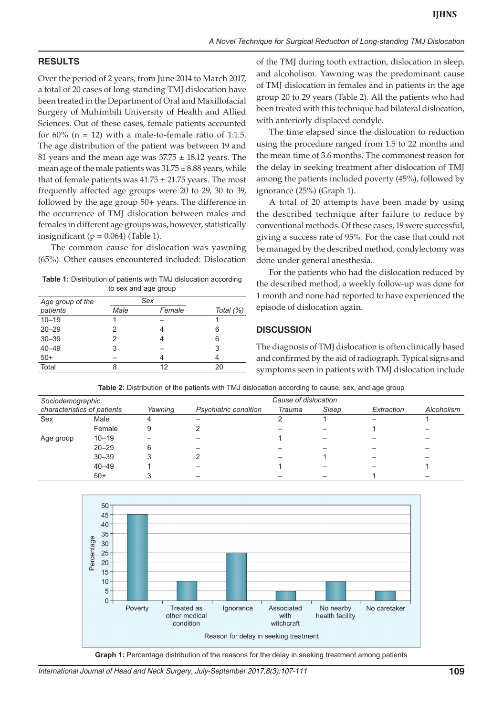# **RESULTS**

Over the period of 2 years, from June 2014 to March 2017, a total of 20 cases of long-standing TMJ dislocation have been treated in the Department of Oral and Maxillofacial Surgery of Muhimbili University of Health and Allied Sciences. Out of these cases, female patients accounted for  $60\%$  (n = 12) with a male-to-female ratio of 1:1.5. The age distribution of the patient was between 19 and 81 years and the mean age was  $37.75 \pm 18.12$  years. The mean age of the male patients was  $31.75 \pm 8.88$  years, while that of female patients was  $41.75 \pm 21.75$  years. The most frequently affected age groups were 20 to 29, 30 to 39, followed by the age group 50+ years. The difference in the occurrence of TMJ dislocation between males and females in different age groups was, however, statistically insignificant ( $p = 0.064$ ) (Table 1).

The common cause for dislocation was yawning (65%). Other causes encountered included: Dislocation

**Table 1:** Distribution of patients with TMJ dislocation according to sex and age group

| Age group of the | Sex  |        |           |
|------------------|------|--------|-----------|
| patients         | Male | Female | Total (%) |
| $10 - 19$        |      |        |           |
| $20 - 29$        | 2    |        | 6         |
| $30 - 39$        | 2    |        | 6         |
| $40 - 49$        | 3    |        | 3         |
| $50+$            |      |        | 4         |
| Total            | Զ    | 12     | 20        |

of the TMJ during tooth extraction, dislocation in sleep, and alcoholism. Yawning was the predominant cause of TMJ dislocation in females and in patients in the age group 20 to 29 years (Table 2). All the patients who had been treated with this technique had bilateral dislocation, with anteriorly displaced condyle.

The time elapsed since the dislocation to reduction using the procedure ranged from 1.5 to 22 months and the mean time of 3.6 months. The commonest reason for the delay in seeking treatment after dislocation of TMJ among the patients included poverty (45%), followed by ignorance (25%) (Graph 1).

A total of 20 attempts have been made by using the described technique after failure to reduce by conventional methods. Of these cases, 19 were successful, giving a success rate of 95%. For the case that could not be managed by the described method, condylectomy was done under general anesthesia.

For the patients who had the dislocation reduced by the described method, a weekly follow-up was done for 1 month and none had reported to have experienced the episode of dislocation again.

#### **DISCUSSION**

The diagnosis of TMJ dislocation is often clinically based and confirmed by the aid of radiograph. Typical signs and symptoms seen in patients with TMJ dislocation include

| Table 2: Distribution of the patients with TMJ dislocation according to cause, sex, and age group |  |  |
|---------------------------------------------------------------------------------------------------|--|--|
|---------------------------------------------------------------------------------------------------|--|--|

| Sociodemographic<br>characteristics of patients |           |         | Cause of dislocation         |        |       |            |            |  |  |
|-------------------------------------------------|-----------|---------|------------------------------|--------|-------|------------|------------|--|--|
|                                                 |           | Yawning | <b>Psychiatric condition</b> | Trauma | Sleep | Extraction | Alcoholism |  |  |
| Sex                                             | Male      | 4       |                              |        |       |            |            |  |  |
|                                                 | Female    | 9       |                              |        |       |            |            |  |  |
| Age group                                       | $10 - 19$ |         |                              |        |       |            |            |  |  |
|                                                 | $20 - 29$ | 6       |                              |        |       |            |            |  |  |
|                                                 | $30 - 39$ |         |                              |        |       |            |            |  |  |
|                                                 | $40 - 49$ |         |                              |        |       |            |            |  |  |
|                                                 | $50+$     |         |                              |        |       |            |            |  |  |



*International Journal of Head and Neck Surgery, July-September 2017;8(3):107-111* **109**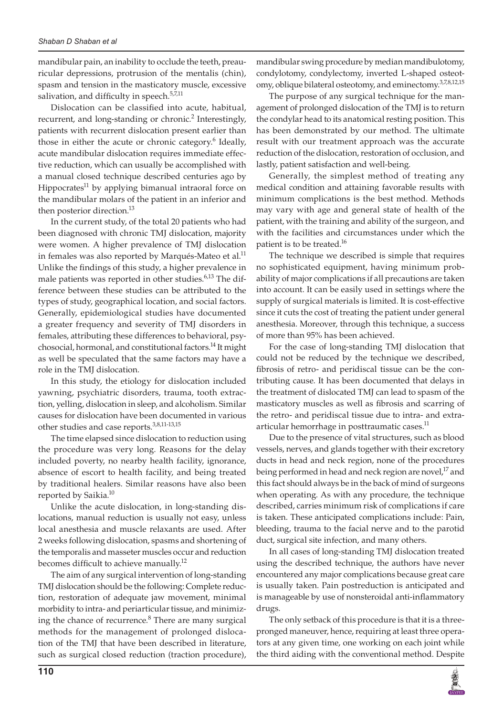mandibular pain, an inability to occlude the teeth, preauricular depressions, protrusion of the mentalis (chin), spasm and tension in the masticatory muscle, excessive salivation, and difficulty in speech.<sup>5,7,11</sup>

Dislocation can be classified into acute, habitual, recurrent, and long-standing or chronic.<sup>2</sup> Interestingly, patients with recurrent dislocation present earlier than those in either the acute or chronic category.<sup>6</sup> Ideally, acute mandibular dislocation requires immediate effective reduction, which can usually be accomplished with a manual closed technique described centuries ago by Hippocrates<sup>11</sup> by applying bimanual intraoral force on the mandibular molars of the patient in an inferior and then posterior direction.<sup>13</sup>

In the current study, of the total 20 patients who had been diagnosed with chronic TMJ dislocation, majority were women. A higher prevalence of TMJ dislocation in females was also reported by Marqués-Mateo et al.<sup>11</sup> Unlike the findings of this study, a higher prevalence in male patients was reported in other studies.<sup>6,13</sup> The difference between these studies can be attributed to the types of study, geographical location, and social factors. Generally, epidemiological studies have documented a greater frequency and severity of TMJ disorders in females, attributing these differences to behavioral, psychosocial, hormonal, and constitutional factors.<sup>14</sup> It might as well be speculated that the same factors may have a role in the TMJ dislocation.

In this study, the etiology for dislocation included yawning, psychiatric disorders, trauma, tooth extraction, yelling, dislocation in sleep, and alcoholism. Similar causes for dislocation have been documented in various other studies and case reports.<sup>3,8,11-13,15</sup>

The time elapsed since dislocation to reduction using the procedure was very long. Reasons for the delay included poverty, no nearby health facility, ignorance, absence of escort to health facility, and being treated by traditional healers. Similar reasons have also been reported by Saikia.<sup>10</sup>

Unlike the acute dislocation, in long-standing dislocations, manual reduction is usually not easy, unless local anesthesia and muscle relaxants are used. After 2 weeks following dislocation, spasms and shortening of the temporalis and masseter muscles occur and reduction becomes difficult to achieve manually.12

The aim of any surgical intervention of long-standing TMJ dislocation should be the following: Complete reduction, restoration of adequate jaw movement, minimal morbidity to intra- and periarticular tissue, and minimizing the chance of recurrence.<sup>8</sup> There are many surgical methods for the management of prolonged dislocation of the TMJ that have been described in literature, such as surgical closed reduction (traction procedure),

mandibular swing procedure by median mandibulotomy, condylotomy, condylectomy, inverted L-shaped osteotomy, oblique bilateral osteotomy, and eminectomy.<sup>3,7,8,12,15</sup>

The purpose of any surgical technique for the management of prolonged dislocation of the TMJ is to return the condylar head to its anatomical resting position. This has been demonstrated by our method. The ultimate result with our treatment approach was the accurate reduction of the dislocation, restoration of occlusion, and lastly, patient satisfaction and well-being.

Generally, the simplest method of treating any medical condition and attaining favorable results with minimum complications is the best method. Methods may vary with age and general state of health of the patient, with the training and ability of the surgeon, and with the facilities and circumstances under which the patient is to be treated.<sup>16</sup>

The technique we described is simple that requires no sophisticated equipment, having minimum probability of major complications if all precautions are taken into account. It can be easily used in settings where the supply of surgical materials is limited. It is cost-effective since it cuts the cost of treating the patient under general anesthesia. Moreover, through this technique, a success of more than 95% has been achieved.

For the case of long-standing TMJ dislocation that could not be reduced by the technique we described, fibrosis of retro- and peridiscal tissue can be the contributing cause. It has been documented that delays in the treatment of dislocated TMJ can lead to spasm of the masticatory muscles as well as fibrosis and scarring of the retro- and peridiscal tissue due to intra- and extraarticular hemorrhage in posttraumatic cases. $<sup>11</sup>$ </sup>

Due to the presence of vital structures, such as blood vessels, nerves, and glands together with their excretory ducts in head and neck region, none of the procedures being performed in head and neck region are novel,<sup>17</sup> and this fact should always be in the back of mind of surgeons when operating. As with any procedure, the technique described, carries minimum risk of complications if care is taken. These anticipated complications include: Pain, bleeding, trauma to the facial nerve and to the parotid duct, surgical site infection, and many others.

In all cases of long-standing TMJ dislocation treated using the described technique, the authors have never encountered any major complications because great care is usually taken. Pain postreduction is anticipated and is manageable by use of nonsteroidal anti-inflammatory drugs.

The only setback of this procedure is that it is a threepronged maneuver, hence, requiring at least three operators at any given time, one working on each joint while the third aiding with the conventional method. Despite